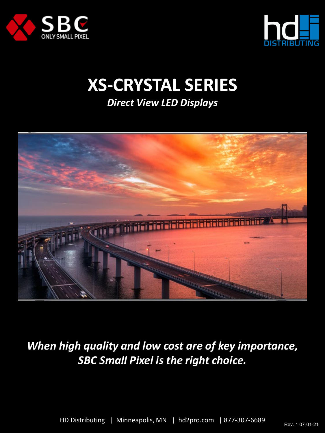



# **XS-CRYSTAL SERIES**

*Direct View LED Displays*



*When high quality and low cost are of key importance, SBC Small Pixel is the right choice.*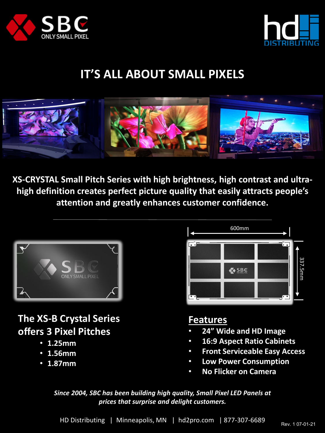



# **IT'S ALL ABOUT SMALL PIXELS**



**XS-CRYSTAL Small Pitch Series with high brightness, high contrast and ultrahigh definition creates perfect picture quality that easily attracts people's attention and greatly enhances customer confidence.**



# **The XS-B Crystal Series offers 3 Pixel Pitches**

- **1.25mm**
- **1.56mm**
- **1.87mm**



#### **Features**

- **24" Wide and HD Image**
- **16:9 Aspect Ratio Cabinets**
- **Front Serviceable Easy Access**
- **Low Power Consumption**
- **No Flicker on Camera**

*Since 2004, SBC has been building high quality, Small Pixel LED Panels at prices that surprise and delight customers.*